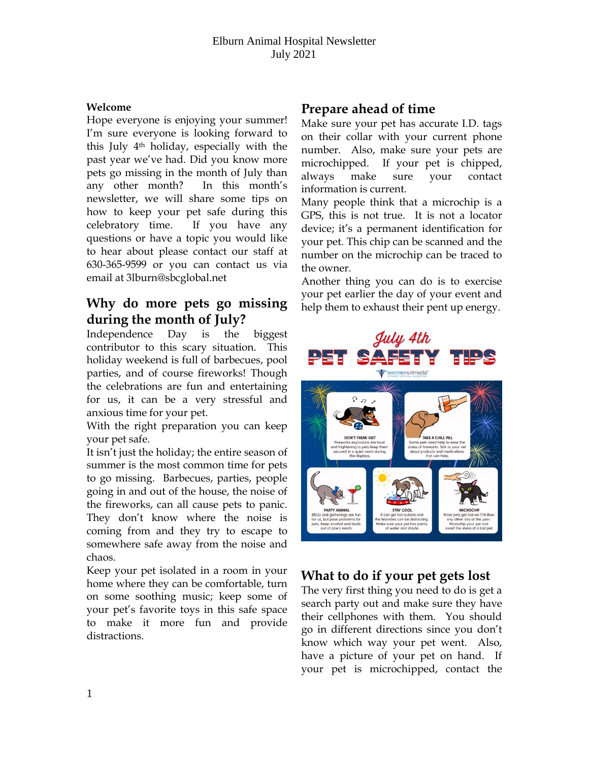#### **Welcome**

Hope everyone is enjoying your summer! I'm sure everyone is looking forward to this July 4th holiday, especially with the past year we've had. Did you know more pets go missing in the month of July than any other month? In this month's newsletter, we will share some tips on how to keep your pet safe during this celebratory time. If you have any questions or have a topic you would like to hear about please contact our staff at 630-365-9599 or you can contact us via email at 3lburn@sbcglobal.net

# **Why do more pets go missing during the month of July?**

Independence Day is the biggest contributor to this scary situation. This holiday weekend is full of barbecues, pool parties, and of course fireworks! Though the celebrations are fun and entertaining for us, it can be a very stressful and anxious time for your pet.

With the right preparation you can keep your pet safe.

It isn't just the holiday; the entire season of summer is the most common time for pets to go missing. Barbecues, parties, people going in and out of the house, the noise of the fireworks, can all cause pets to panic. They don't know where the noise is coming from and they try to escape to somewhere safe away from the noise and chaos.

Keep your pet isolated in a room in your home where they can be comfortable, turn on some soothing music; keep some of your pet's favorite toys in this safe space to make it more fun and provide distractions.

## **Prepare ahead of time**

Make sure your pet has accurate I.D. tags on their collar with your current phone number. Also, make sure your pets are microchipped. If your pet is chipped, always make sure your contact information is current.

Many people think that a microchip is a GPS, this is not true. It is not a locator device; it's a permanent identification for your pet. This chip can be scanned and the number on the microchip can be traced to the owner.

Another thing you can do is to exercise your pet earlier the day of your event and help them to exhaust their pent up energy.



## **What to do if your pet gets lost**

The very first thing you need to do is get a search party out and make sure they have their cellphones with them. You should go in different directions since you don't know which way your pet went. Also, have a picture of your pet on hand. If your pet is microchipped, contact the